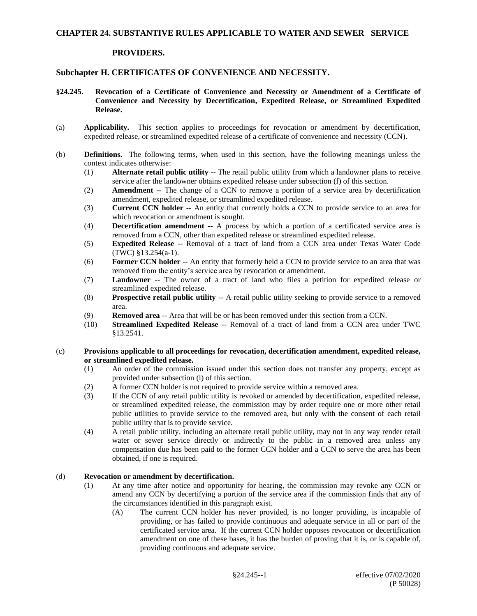### **CHAPTER 24. SUBSTANTIVE RULES APPLICABLE TO WATER AND SEWER SERVICE**

#### **PROVIDERS.**

# **Subchapter H. CERTIFICATES OF CONVENIENCE AND NECESSITY.**

- **§24.245. Revocation of a Certificate of Convenience and Necessity or Amendment of a Certificate of Convenience and Necessity by Decertification, Expedited Release, or Streamlined Expedited Release.**
- (a) **Applicability.** This section applies to proceedings for revocation or amendment by decertification, expedited release, or streamlined expedited release of a certificate of convenience and necessity (CCN).
- (b) **Definitions.** The following terms, when used in this section, have the following meanings unless the context indicates otherwise:
	- (1) **Alternate retail public utility** -- The retail public utility from which a landowner plans to receive service after the landowner obtains expedited release under subsection (f) of this section.
	- (2) **Amendment** -- The change of a CCN to remove a portion of a service area by decertification amendment, expedited release, or streamlined expedited release.
	- (3) **Current CCN holder** -- An entity that currently holds a CCN to provide service to an area for which revocation or amendment is sought.
	- (4) **Decertification amendment** -- A process by which a portion of a certificated service area is removed from a CCN, other than expedited release or streamlined expedited release.
	- (5) **Expedited Release** -- Removal of a tract of land from a CCN area under Texas Water Code (TWC) §13.254(a-1).
	- (6) **Former CCN holder** -- An entity that formerly held a CCN to provide service to an area that was removed from the entity's service area by revocation or amendment.
	- (7) **Landowner** -- The owner of a tract of land who files a petition for expedited release or streamlined expedited release.
	- (8) **Prospective retail public utility** -- A retail public utility seeking to provide service to a removed area.
	- (9) **Removed area** -- Area that will be or has been removed under this section from a CCN.
	- (10) **Streamlined Expedited Release** -- Removal of a tract of land from a CCN area under TWC §13.2541.

#### (c) **Provisions applicable to all proceedings for revocation, decertification amendment, expedited release, or streamlined expedited release.**

- (1) An order of the commission issued under this section does not transfer any property, except as provided under subsection (l) of this section.
- (2) A former CCN holder is not required to provide service within a removed area.
- (3) If the CCN of any retail public utility is revoked or amended by decertification, expedited release, or streamlined expedited release, the commission may by order require one or more other retail public utilities to provide service to the removed area, but only with the consent of each retail public utility that is to provide service.
- (4) A retail public utility, including an alternate retail public utility, may not in any way render retail water or sewer service directly or indirectly to the public in a removed area unless any compensation due has been paid to the former CCN holder and a CCN to serve the area has been obtained, if one is required.

#### (d) **Revocation or amendment by decertification.**

- (1) At any time after notice and opportunity for hearing, the commission may revoke any CCN or amend any CCN by decertifying a portion of the service area if the commission finds that any of the circumstances identified in this paragraph exist.
	- (A) The current CCN holder has never provided, is no longer providing, is incapable of providing, or has failed to provide continuous and adequate service in all or part of the certificated service area. If the current CCN holder opposes revocation or decertification amendment on one of these bases, it has the burden of proving that it is, or is capable of, providing continuous and adequate service.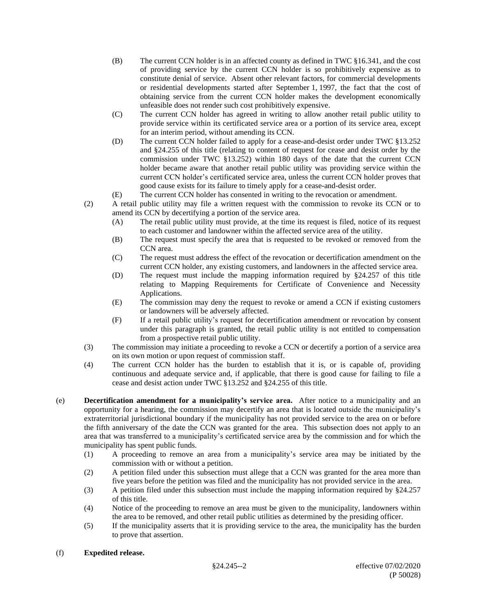- (B) The current CCN holder is in an affected county as defined in TWC §16.341, and the cost of providing service by the current CCN holder is so prohibitively expensive as to constitute denial of service. Absent other relevant factors, for commercial developments or residential developments started after September 1, 1997, the fact that the cost of obtaining service from the current CCN holder makes the development economically unfeasible does not render such cost prohibitively expensive.
- (C) The current CCN holder has agreed in writing to allow another retail public utility to provide service within its certificated service area or a portion of its service area, except for an interim period, without amending its CCN.
- (D) The current CCN holder failed to apply for a cease-and-desist order under TWC §13.252 and §24.255 of this title (relating to content of request for cease and desist order by the commission under TWC §13.252) within 180 days of the date that the current CCN holder became aware that another retail public utility was providing service within the current CCN holder's certificated service area, unless the current CCN holder proves that good cause exists for its failure to timely apply for a cease-and-desist order.
- (E) The current CCN holder has consented in writing to the revocation or amendment.
- (2) A retail public utility may file a written request with the commission to revoke its CCN or to amend its CCN by decertifying a portion of the service area.
	- (A) The retail public utility must provide, at the time its request is filed, notice of its request to each customer and landowner within the affected service area of the utility.
	- (B) The request must specify the area that is requested to be revoked or removed from the CCN area.
	- (C) The request must address the effect of the revocation or decertification amendment on the current CCN holder, any existing customers, and landowners in the affected service area.
	- (D) The request must include the mapping information required by §24.257 of this title relating to Mapping Requirements for Certificate of Convenience and Necessity Applications.
	- (E) The commission may deny the request to revoke or amend a CCN if existing customers or landowners will be adversely affected.
	- (F) If a retail public utility's request for decertification amendment or revocation by consent under this paragraph is granted, the retail public utility is not entitled to compensation from a prospective retail public utility.
- (3) The commission may initiate a proceeding to revoke a CCN or decertify a portion of a service area on its own motion or upon request of commission staff.
- (4) The current CCN holder has the burden to establish that it is, or is capable of, providing continuous and adequate service and, if applicable, that there is good cause for failing to file a cease and desist action under TWC §13.252 and §24.255 of this title.
- (e) **Decertification amendment for a municipality's service area.** After notice to a municipality and an opportunity for a hearing, the commission may decertify an area that is located outside the municipality's extraterritorial jurisdictional boundary if the municipality has not provided service to the area on or before the fifth anniversary of the date the CCN was granted for the area. This subsection does not apply to an area that was transferred to a municipality's certificated service area by the commission and for which the municipality has spent public funds.
	- (1) A proceeding to remove an area from a municipality's service area may be initiated by the commission with or without a petition.
	- (2) A petition filed under this subsection must allege that a CCN was granted for the area more than five years before the petition was filed and the municipality has not provided service in the area.
	- (3) A petition filed under this subsection must include the mapping information required by §24.257 of this title.
	- (4) Notice of the proceeding to remove an area must be given to the municipality, landowners within the area to be removed, and other retail public utilities as determined by the presiding officer.
	- (5) If the municipality asserts that it is providing service to the area, the municipality has the burden to prove that assertion.

# (f) **Expedited release.**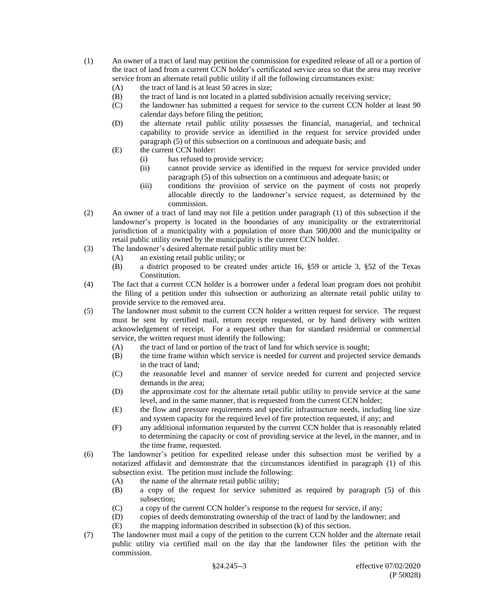- (1) An owner of a tract of land may petition the commission for expedited release of all or a portion of the tract of land from a current CCN holder's certificated service area so that the area may receive service from an alternate retail public utility if all the following circumstances exist:
	- (A) the tract of land is at least 50 acres in size;
	- (B) the tract of land is not located in a platted subdivision actually receiving service;
	- (C) the landowner has submitted a request for service to the current CCN holder at least 90 calendar days before filing the petition;
	- (D) the alternate retail public utility possesses the financial, managerial, and technical capability to provide service as identified in the request for service provided under paragraph (5) of this subsection on a continuous and adequate basis; and
	- (E) the current CCN holder:
		- (i) has refused to provide service;
		- (ii) cannot provide service as identified in the request for service provided under paragraph (5) of this subsection on a continuous and adequate basis; or
		- (iii) conditions the provision of service on the payment of costs not properly allocable directly to the landowner's service request, as determined by the commission.
- (2) An owner of a tract of land may not file a petition under paragraph (1) of this subsection if the landowner's property is located in the boundaries of any municipality or the extraterritorial jurisdiction of a municipality with a population of more than 500,000 and the municipality or retail public utility owned by the municipality is the current CCN holder.
- (3) The landowner's desired alternate retail public utility must be:
	- (A) an existing retail public utility; or
	- (B) a district proposed to be created under article 16, §59 or article 3, §52 of the Texas Constitution.
- (4) The fact that a current CCN holder is a borrower under a federal loan program does not prohibit the filing of a petition under this subsection or authorizing an alternate retail public utility to provide service to the removed area.
- (5) The landowner must submit to the current CCN holder a written request for service. The request must be sent by certified mail, return receipt requested, or by hand delivery with written acknowledgement of receipt. For a request other than for standard residential or commercial service, the written request must identify the following:
	- (A) the tract of land or portion of the tract of land for which service is sought;
	- (B) the time frame within which service is needed for current and projected service demands in the tract of land;
	- (C) the reasonable level and manner of service needed for current and projected service demands in the area;
	- (D) the approximate cost for the alternate retail public utility to provide service at the same level, and in the same manner, that is requested from the current CCN holder;
	- (E) the flow and pressure requirements and specific infrastructure needs, including line size and system capacity for the required level of fire protection requested, if any; and
	- (F) any additional information requested by the current CCN holder that is reasonably related to determining the capacity or cost of providing service at the level, in the manner, and in the time frame, requested.
- (6) The landowner's petition for expedited release under this subsection must be verified by a notarized affidavit and demonstrate that the circumstances identified in paragraph (1) of this subsection exist. The petition must include the following:
	- (A) the name of the alternate retail public utility;
	- (B) a copy of the request for service submitted as required by paragraph (5) of this subsection;
	- (C) a copy of the current CCN holder's response to the request for service, if any;
	- (D) copies of deeds demonstrating ownership of the tract of land by the landowner; and
	- $(E)$  the mapping information described in subsection  $(k)$  of this section.
- (7) The landowner must mail a copy of the petition to the current CCN holder and the alternate retail public utility via certified mail on the day that the landowner files the petition with the commission.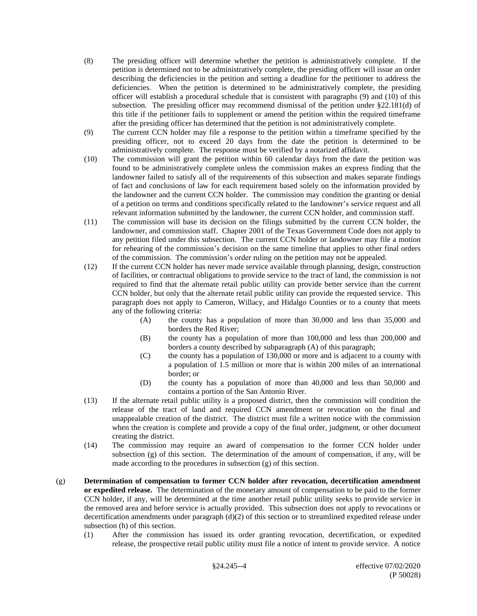- (8) The presiding officer will determine whether the petition is administratively complete. If the petition is determined not to be administratively complete, the presiding officer will issue an order describing the deficiencies in the petition and setting a deadline for the petitioner to address the deficiencies. When the petition is determined to be administratively complete, the presiding officer will establish a procedural schedule that is consistent with paragraphs (9) and (10) of this subsection. The presiding officer may recommend dismissal of the petition under §22.181(d) of this title if the petitioner fails to supplement or amend the petition within the required timeframe after the presiding officer has determined that the petition is not administratively complete.
- (9) The current CCN holder may file a response to the petition within a timeframe specified by the presiding officer, not to exceed 20 days from the date the petition is determined to be administratively complete. The response must be verified by a notarized affidavit.
- (10) The commission will grant the petition within 60 calendar days from the date the petition was found to be administratively complete unless the commission makes an express finding that the landowner failed to satisfy all of the requirements of this subsection and makes separate findings of fact and conclusions of law for each requirement based solely on the information provided by the landowner and the current CCN holder. The commission may condition the granting or denial of a petition on terms and conditions specifically related to the landowner's service request and all relevant information submitted by the landowner, the current CCN holder, and commission staff.
- (11) The commission will base its decision on the filings submitted by the current CCN holder, the landowner, and commission staff. Chapter 2001 of the Texas Government Code does not apply to any petition filed under this subsection. The current CCN holder or landowner may file a motion for rehearing of the commission's decision on the same timeline that applies to other final orders of the commission. The commission's order ruling on the petition may not be appealed.
- (12) If the current CCN holder has never made service available through planning, design, construction of facilities, or contractual obligations to provide service to the tract of land, the commission is not required to find that the alternate retail public utility can provide better service than the current CCN holder, but only that the alternate retail public utility can provide the requested service. This paragraph does not apply to Cameron, Willacy, and Hidalgo Counties or to a county that meets any of the following criteria:
	- (A) the county has a population of more than 30,000 and less than 35,000 and borders the Red River;
	- (B) the county has a population of more than 100,000 and less than 200,000 and borders a county described by subparagraph (A) of this paragraph;
	- (C) the county has a population of 130,000 or more and is adjacent to a county with a population of 1.5 million or more that is within 200 miles of an international border; or
	- (D) the county has a population of more than 40,000 and less than 50,000 and contains a portion of the San Antonio River.
- (13) If the alternate retail public utility is a proposed district, then the commission will condition the release of the tract of land and required CCN amendment or revocation on the final and unappealable creation of the district. The district must file a written notice with the commission when the creation is complete and provide a copy of the final order, judgment, or other document creating the district.
- (14) The commission may require an award of compensation to the former CCN holder under subsection (g) of this section. The determination of the amount of compensation, if any, will be made according to the procedures in subsection (g) of this section.
- (g) **Determination of compensation to former CCN holder after revocation, decertification amendment or expedited release.** The determination of the monetary amount of compensation to be paid to the former CCN holder, if any, will be determined at the time another retail public utility seeks to provide service in the removed area and before service is actually provided. This subsection does not apply to revocations or decertification amendments under paragraph  $(d)(2)$  of this section or to streamlined expedited release under subsection (h) of this section.
	- (1) After the commission has issued its order granting revocation, decertification, or expedited release, the prospective retail public utility must file a notice of intent to provide service. A notice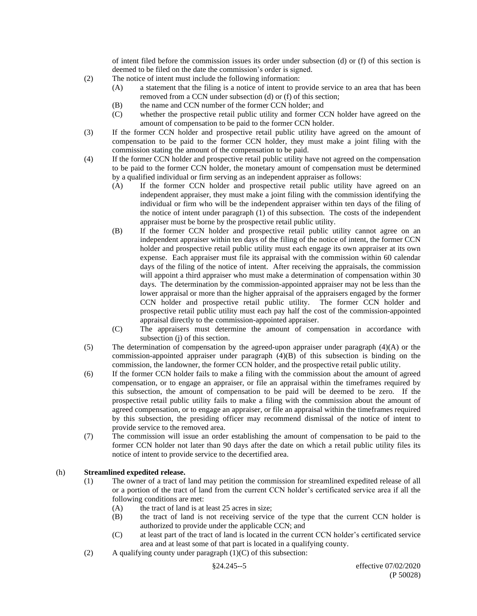of intent filed before the commission issues its order under subsection (d) or (f) of this section is deemed to be filed on the date the commission's order is signed.

- (2) The notice of intent must include the following information:
	- (A) a statement that the filing is a notice of intent to provide service to an area that has been removed from a CCN under subsection (d) or (f) of this section;
	- (B) the name and CCN number of the former CCN holder; and
	- (C) whether the prospective retail public utility and former CCN holder have agreed on the amount of compensation to be paid to the former CCN holder.
- (3) If the former CCN holder and prospective retail public utility have agreed on the amount of compensation to be paid to the former CCN holder, they must make a joint filing with the commission stating the amount of the compensation to be paid.
- (4) If the former CCN holder and prospective retail public utility have not agreed on the compensation to be paid to the former CCN holder, the monetary amount of compensation must be determined by a qualified individual or firm serving as an independent appraiser as follows:
	- (A) If the former CCN holder and prospective retail public utility have agreed on an independent appraiser, they must make a joint filing with the commission identifying the individual or firm who will be the independent appraiser within ten days of the filing of the notice of intent under paragraph (1) of this subsection. The costs of the independent appraiser must be borne by the prospective retail public utility.
	- (B) If the former CCN holder and prospective retail public utility cannot agree on an independent appraiser within ten days of the filing of the notice of intent, the former CCN holder and prospective retail public utility must each engage its own appraiser at its own expense. Each appraiser must file its appraisal with the commission within 60 calendar days of the filing of the notice of intent. After receiving the appraisals, the commission will appoint a third appraiser who must make a determination of compensation within 30 days. The determination by the commission-appointed appraiser may not be less than the lower appraisal or more than the higher appraisal of the appraisers engaged by the former CCN holder and prospective retail public utility. The former CCN holder and prospective retail public utility must each pay half the cost of the commission-appointed appraisal directly to the commission-appointed appraiser.
	- (C) The appraisers must determine the amount of compensation in accordance with subsection (j) of this section.
- (5) The determination of compensation by the agreed-upon appraiser under paragraph (4)(A) or the commission-appointed appraiser under paragraph (4)(B) of this subsection is binding on the commission, the landowner, the former CCN holder, and the prospective retail public utility.
- (6) If the former CCN holder fails to make a filing with the commission about the amount of agreed compensation, or to engage an appraiser, or file an appraisal within the timeframes required by this subsection, the amount of compensation to be paid will be deemed to be zero. If the prospective retail public utility fails to make a filing with the commission about the amount of agreed compensation, or to engage an appraiser, or file an appraisal within the timeframes required by this subsection, the presiding officer may recommend dismissal of the notice of intent to provide service to the removed area.
- (7) The commission will issue an order establishing the amount of compensation to be paid to the former CCN holder not later than 90 days after the date on which a retail public utility files its notice of intent to provide service to the decertified area.

# (h) **Streamlined expedited release.**

- (1) The owner of a tract of land may petition the commission for streamlined expedited release of all or a portion of the tract of land from the current CCN holder's certificated service area if all the following conditions are met:
	- (A) the tract of land is at least 25 acres in size;
	- (B) the tract of land is not receiving service of the type that the current CCN holder is authorized to provide under the applicable CCN; and
	- (C) at least part of the tract of land is located in the current CCN holder's certificated service area and at least some of that part is located in a qualifying county.
- (2) A qualifying county under paragraph  $(1)(C)$  of this subsection: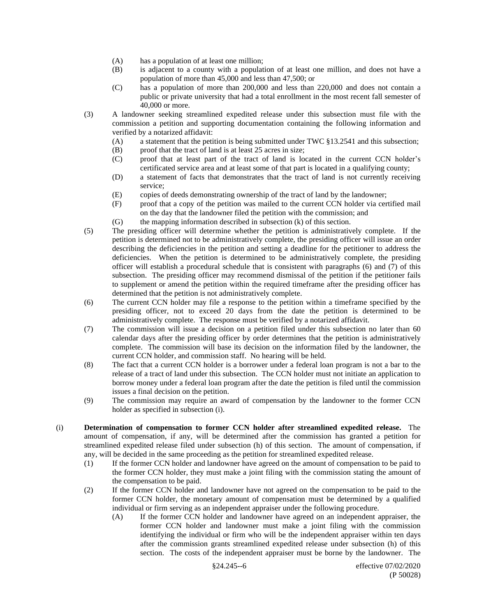- (A) has a population of at least one million;
- (B) is adjacent to a county with a population of at least one million, and does not have a population of more than 45,000 and less than 47,500; or
- (C) has a population of more than 200,000 and less than 220,000 and does not contain a public or private university that had a total enrollment in the most recent fall semester of 40,000 or more.
- (3) A landowner seeking streamlined expedited release under this subsection must file with the commission a petition and supporting documentation containing the following information and verified by a notarized affidavit:
	- (A) a statement that the petition is being submitted under TWC §13.2541 and this subsection;
	- (B) proof that the tract of land is at least 25 acres in size;
	- (C) proof that at least part of the tract of land is located in the current CCN holder's certificated service area and at least some of that part is located in a qualifying county;
	- (D) a statement of facts that demonstrates that the tract of land is not currently receiving service;
	- (E) copies of deeds demonstrating ownership of the tract of land by the landowner;
	- (F) proof that a copy of the petition was mailed to the current CCN holder via certified mail on the day that the landowner filed the petition with the commission; and
	- (G) the mapping information described in subsection (k) of this section.
- (5) The presiding officer will determine whether the petition is administratively complete. If the petition is determined not to be administratively complete, the presiding officer will issue an order describing the deficiencies in the petition and setting a deadline for the petitioner to address the deficiencies. When the petition is determined to be administratively complete, the presiding officer will establish a procedural schedule that is consistent with paragraphs (6) and (7) of this subsection. The presiding officer may recommend dismissal of the petition if the petitioner fails to supplement or amend the petition within the required timeframe after the presiding officer has determined that the petition is not administratively complete.
- (6) The current CCN holder may file a response to the petition within a timeframe specified by the presiding officer, not to exceed 20 days from the date the petition is determined to be administratively complete. The response must be verified by a notarized affidavit.
- (7) The commission will issue a decision on a petition filed under this subsection no later than 60 calendar days after the presiding officer by order determines that the petition is administratively complete. The commission will base its decision on the information filed by the landowner, the current CCN holder, and commission staff. No hearing will be held.
- (8) The fact that a current CCN holder is a borrower under a federal loan program is not a bar to the release of a tract of land under this subsection. The CCN holder must not initiate an application to borrow money under a federal loan program after the date the petition is filed until the commission issues a final decision on the petition.
- (9) The commission may require an award of compensation by the landowner to the former CCN holder as specified in subsection (i).
- (i) **Determination of compensation to former CCN holder after streamlined expedited release.** The amount of compensation, if any, will be determined after the commission has granted a petition for streamlined expedited release filed under subsection (h) of this section. The amount of compensation, if any, will be decided in the same proceeding as the petition for streamlined expedited release.
	- (1) If the former CCN holder and landowner have agreed on the amount of compensation to be paid to the former CCN holder, they must make a joint filing with the commission stating the amount of the compensation to be paid.
	- (2) If the former CCN holder and landowner have not agreed on the compensation to be paid to the former CCN holder, the monetary amount of compensation must be determined by a qualified individual or firm serving as an independent appraiser under the following procedure.
		- (A) If the former CCN holder and landowner have agreed on an independent appraiser, the former CCN holder and landowner must make a joint filing with the commission identifying the individual or firm who will be the independent appraiser within ten days after the commission grants streamlined expedited release under subsection (h) of this section. The costs of the independent appraiser must be borne by the landowner. The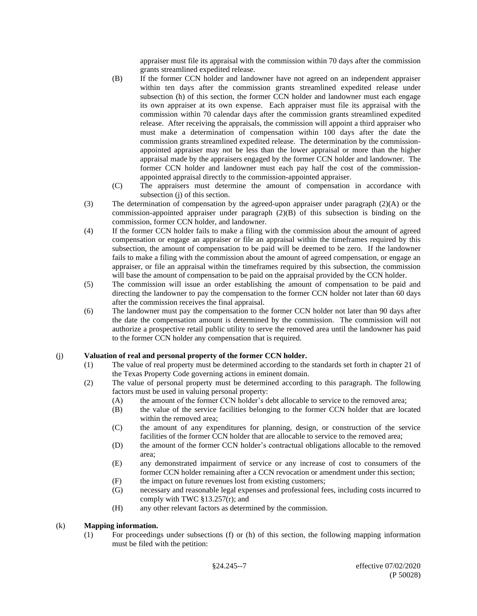appraiser must file its appraisal with the commission within 70 days after the commission grants streamlined expedited release.

- (B) If the former CCN holder and landowner have not agreed on an independent appraiser within ten days after the commission grants streamlined expedited release under subsection (h) of this section, the former CCN holder and landowner must each engage its own appraiser at its own expense. Each appraiser must file its appraisal with the commission within 70 calendar days after the commission grants streamlined expedited release. After receiving the appraisals, the commission will appoint a third appraiser who must make a determination of compensation within 100 days after the date the commission grants streamlined expedited release. The determination by the commissionappointed appraiser may not be less than the lower appraisal or more than the higher appraisal made by the appraisers engaged by the former CCN holder and landowner. The former CCN holder and landowner must each pay half the cost of the commissionappointed appraisal directly to the commission-appointed appraiser.
- (C) The appraisers must determine the amount of compensation in accordance with subsection (j) of this section.
- (3) The determination of compensation by the agreed-upon appraiser under paragraph (2)(A) or the commission-appointed appraiser under paragraph (2)(B) of this subsection is binding on the commission, former CCN holder, and landowner.
- (4) If the former CCN holder fails to make a filing with the commission about the amount of agreed compensation or engage an appraiser or file an appraisal within the timeframes required by this subsection, the amount of compensation to be paid will be deemed to be zero. If the landowner fails to make a filing with the commission about the amount of agreed compensation, or engage an appraiser, or file an appraisal within the timeframes required by this subsection, the commission will base the amount of compensation to be paid on the appraisal provided by the CCN holder.
- (5) The commission will issue an order establishing the amount of compensation to be paid and directing the landowner to pay the compensation to the former CCN holder not later than 60 days after the commission receives the final appraisal.
- (6) The landowner must pay the compensation to the former CCN holder not later than 90 days after the date the compensation amount is determined by the commission. The commission will not authorize a prospective retail public utility to serve the removed area until the landowner has paid to the former CCN holder any compensation that is required.

# (j) **Valuation of real and personal property of the former CCN holder.**

- (1) The value of real property must be determined according to the standards set forth in chapter 21 of the Texas Property Code governing actions in eminent domain.
- (2) The value of personal property must be determined according to this paragraph. The following factors must be used in valuing personal property:
	- (A) the amount of the former CCN holder's debt allocable to service to the removed area;
	- (B) the value of the service facilities belonging to the former CCN holder that are located within the removed area;
	- (C) the amount of any expenditures for planning, design, or construction of the service facilities of the former CCN holder that are allocable to service to the removed area;
	- (D) the amount of the former CCN holder's contractual obligations allocable to the removed area;
	- (E) any demonstrated impairment of service or any increase of cost to consumers of the former CCN holder remaining after a CCN revocation or amendment under this section;
	- (F) the impact on future revenues lost from existing customers;
	- (G) necessary and reasonable legal expenses and professional fees, including costs incurred to comply with TWC  $\S 13.257(r)$ ; and
	- (H) any other relevant factors as determined by the commission.

# (k) **Mapping information.**

(1) For proceedings under subsections (f) or (h) of this section, the following mapping information must be filed with the petition: